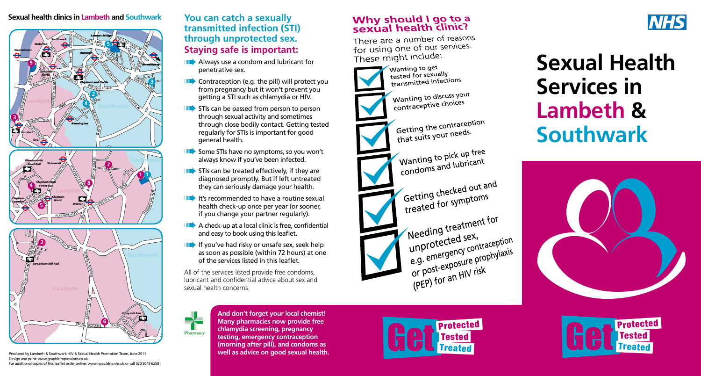#### **h** and S <sup>S</sup><sup>T</sup> <sup>G</sup><sup>E</sup>ORG<sup>E</sup><sup>S</sup> RD Sexual health clinics in Lambeth and Southwark



Produced by Lambeth & Southwark HIV & Sexual Health Promotion Team, June 2011 Design and print: www.graphicimpressions.co.uk For additional copies of this leaflet order online: www.hpac.lslsis.nhs.uk or call 020 3049 6258

### **You can catch a sexually transmitted infection (STI) through unprotected sex. Staying safe is important: A**<br> **A**<br> **A**<br> **C**<br> **C**<br> **C**<br> **C**<br> **C**

- **IIII** Always use a condom and lubricant for penetrative sex. penetrative sex.
- **IIII** Contraception (e.g. the pill) will protect you from pregnancy but it won't prevent you getting a STI such as chlamydia or HIV.
- $\blacktriangleright$  STIs can be passed from person to person through sexual activity and sometimes through close bodily contact. Getting tested regularly for STIs is important for good general health.
- **IIII** Some STIs have no symptoms, so you won't always know if you've been infected.
- **IIII** STIs can be treated effectively, if they are diagnosed promptly. But if left untreated they can seriously damage your health.
- $\blacktriangleright$  It's recommended to have a routine sexual health check-up once per year (or sooner, if you change your partner regularly).
- $\blacktriangleright$  A check-up at a local clinic is free, confidential and easy to book using this leaflet.
- **IIII**</sub> If you've had risky or unsafe sex, seek help as soon as possible (within 72 hours) at one of the services listed in this leaflet.

**And don't forget your local chemist! Many pharmacies now provide free chlamydia screening, pregnancy testing, emergency contraception (morning after pill), and condoms as well as advice on good sexual health.**

All of the services listed provide free condoms, lubricant and confidential advice about sex and sexual health concerns.



## Why should I go to a<br>sexual health clinic?

There are a number of reasons for using one of our services. These might include:



Wanting to get tested for sexually tested for sexually

Wanting to discuss your Wanting to discursive choices

Getting the contraception Getting the contract.<br>that suits your needs.

Wanting to pick up free<br>Wanting to pick up free Wanting to pick up not

Getting checked out and Getting checked out

Needing treatment for e.g. emergency<br>or post-exposure p<br>(PEP) for an HIV ri (PEP) for an HIV risk exposur



# **Sexual Health Services in Lambeth & Southwark**